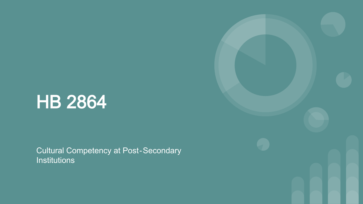# HB 2864

Cultural Competency at Post-Secondary **Institutions** 

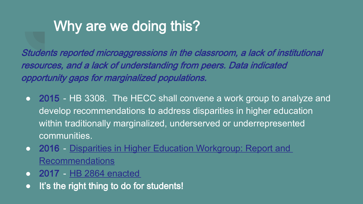# Why are we doing this?

Students reported microaggressions in the classroom, a lack of institutional resources, and a lack of understanding from peers. Data indicated opportunity gaps for marginalized populations.

- 2015 HB 3308. The HECC shall convene a work group to analyze and develop recommendations to address disparities in higher education within traditionally marginalized, underserved or underrepresented communities.
- 2016 [Disparities in Higher Education Workgroup: Report and](https://www.oregon.gov/HigherEd/Documents/HECC/Reports-and-Presentations/LegReports/HB3308-Final-Report-Jun-16.pdf)  Recommendations
- 2017 [HB 2864 enacted](https://olis.leg.state.or.us/liz/2017R1/Downloads/MeasureDocument/HB2864/Enrolled)
- It's the right thing to do for students!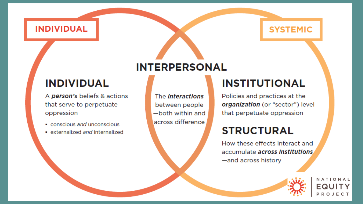#### **INDIVIDUAL**

#### **INDIVIDUAL**

A person's beliefs & actions that serve to perpetuate oppression

- conscious and unconscious
- · externalized and internalized

#### **INTERPERSONAL**

The **Interactions** between people -both within and across difference

#### **INSTITUTIONAL**

Policies and practices at the organization (or "sector") level that perpetuate oppression

**SYSTEMIC** 

#### **STRUCTURAL**

How these effects interact and accumulate across Institutions -and across history

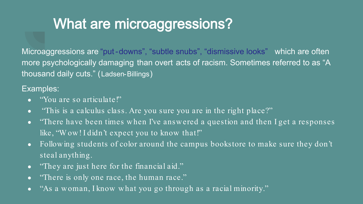# What are microaggressions?

Microaggressions are "put-downs", "subtle snubs", "dismissive looks" which are often more psychologically damaging than overt acts of racism. Sometimes referred to as "A thousand daily cuts." (Ladsen-Billings)

#### Examples:

- Wou are so articulate!"
- "This is a calculus class. Are you sure you are in the right place?"
- "There have been times when I've answered a question and then I get a responses like, "Wow! I didn't expect you to know that!"
- Following students of color around the campus bookstore to make sure they don't steal anything.
- "They are just here for the financial aid."
- "There is only one race, the human race."
- "As a woman, I know what you go through as a racial minority."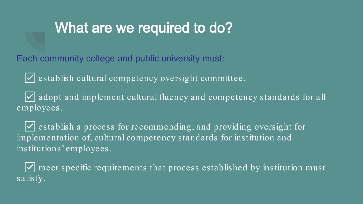### What are we required to do?

Each community college and public university must:

☑ establish cultural competency oversight committee.

☑ adopt and implement cultural fluency and competency standards for all employees.

☑ establish a process for recommending, and providing oversight for implementation of, cultural competency standards for institution and institutions' employees.

 $\sqrt{\phantom{a}}$  meet specific requirements that process established by institution must satisfy.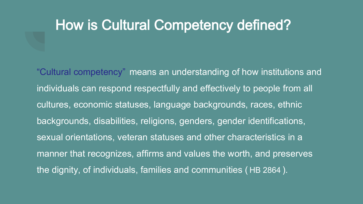### How is Cultural Competency defined?

"Cultural competency" means an understanding of how institutions and individuals can respond respectfully and effectively to people from all cultures, economic statuses, language backgrounds, races, ethnic backgrounds, disabilities, religions, genders, gender identifications, sexual orientations, veteran statuses and other characteristics in a manner that recognizes, affirms and values the worth, and preserves the dignity, of individuals, families and communities ( HB 2864 ).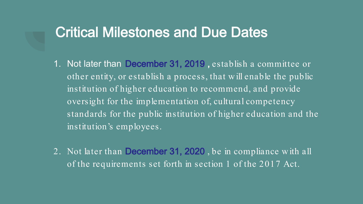### Critical Milestones and Due Dates

- 1. Not later than December 31, 2019 , establish a committee or other entity, or establish a process, that will enable the public institution of higher education to recommend, and provide oversight for the implementation of, cultural competency standards for the public institution of higher education and the institution's employees.
- 2. Not later than December 31, 2020 , be in compliance with all of the requirements set forth in section 1 of the 2017 Act.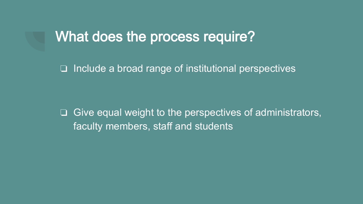### What does the process require?

❏ Include a broad range of institutional perspectives

❏ Give equal weight to the perspectives of administrators, faculty members, staff and students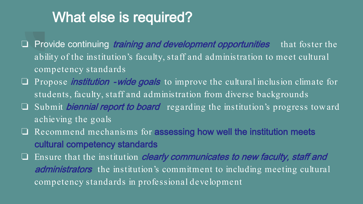### What else is required?

- □ Provide continuing *training and development opportunities* that foster the ability of the institution's faculty, staff and administration to meet cultural competency standards
- ❏ Propose institution -wide goals to improve the cultural inclusion climate for students, faculty, staff and administration from diverse backgrounds
- $\Box$  Submit *biennial report to board* regarding the institution's progress toward achieving the goals
- ❏ Recommend mechanisms for assessing how well the institution meets cultural competency standards
- ❏ Ensure that the institution clearly communicates to new faculty, staff and administrators the institution's commitment to including meeting cultural competency standards in professional development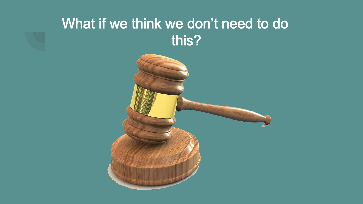# What if we think we don't need to do this?

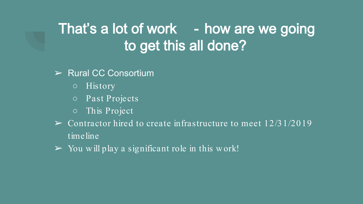# That's a lot of work - how are we going to get this all done?

- ➢ Rural CC Consortium
	- History
	- Past Projects
	- This Project
- $\triangleright$  Contractor hired to create infrastructure to meet 12/31/2019 timeline
- $\triangleright$  You will play a significant role in this work!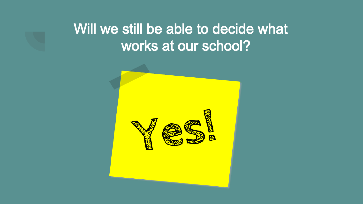# Will we still be able to decide what works at our school?

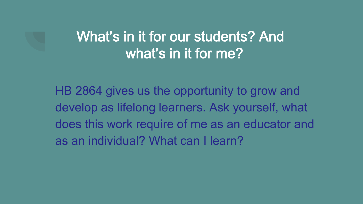# What's in it for our students? And what's in it for me?

HB 2864 gives us the opportunity to grow and develop as lifelong learners. Ask yourself, what does this work require of me as an educator and as an individual? What can I learn?